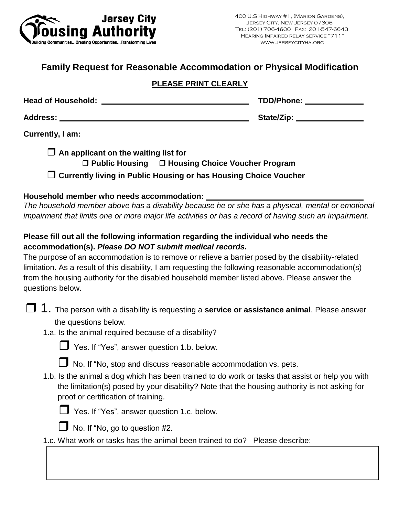

## **Family Request for Reasonable Accommodation or Physical Modification**

#### **PLEASE PRINT CLEARLY**

| <b>Head of Household:</b> | TDD/Phone: |
|---------------------------|------------|
| <b>Address:</b>           | State/Zip: |

**Currently, I am:**

| $\Box$ An applicant on the waiting list for |                                                                    |
|---------------------------------------------|--------------------------------------------------------------------|
|                                             | $\Box$ Public Housing $\Box$ Housing Choice Voucher Program        |
|                                             | □ Currently living in Public Housing or has Housing Choice Voucher |

#### **Household member who needs accommodation:**

*The household member above has a disability because he or she has a physical, mental or emotional impairment that limits one or more major life activities or has a record of having such an impairment.*

### **Please fill out all the following information regarding the individual who needs the accommodation(s).** *Please DO NOT submit medical records.*

The purpose of an accommodation is to remove or relieve a barrier posed by the disability-related limitation. As a result of this disability, I am requesting the following reasonable accommodation(s) from the housing authority for the disabled household member listed above. Please answer the questions below.

- 1. The person with a disability is requesting a **service or assistance animal**. Please answer the questions below.
	- 1.a. Is the animal required because of a disability?



Yes. If "Yes", answer question 1.b. below.



 $\Box$  No. If "No, stop and discuss reasonable accommodation vs. pets.

1.b. Is the animal a dog which has been trained to do work or tasks that assist or help you with the limitation(s) posed by your disability? Note that the housing authority is not asking for proof or certification of training.



Yes. If "Yes", answer question 1.c. below.



 $\Box$  No. If "No, go to question #2.

1.c. What work or tasks has the animal been trained to do? Please describe: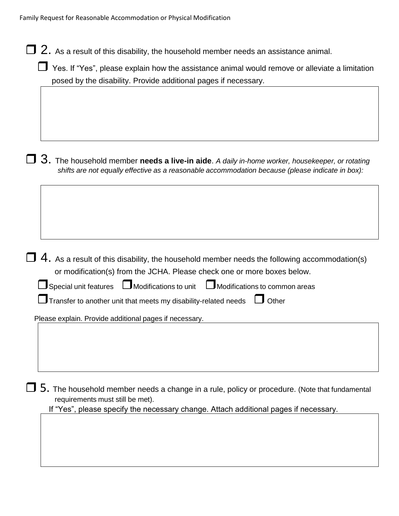| 2. As a result of this disability, the household member needs an assistance animal.                                                                                                                |
|----------------------------------------------------------------------------------------------------------------------------------------------------------------------------------------------------|
| Yes. If "Yes", please explain how the assistance animal would remove or alleviate a limitation<br>posed by the disability. Provide additional pages if necessary.                                  |
|                                                                                                                                                                                                    |
| 3. The household member needs a live-in aide. A daily in-home worker, housekeeper, or rotating<br>shifts are not equally effective as a reasonable accommodation because (please indicate in box): |
|                                                                                                                                                                                                    |
| $4.$ As a result of this disability, the household member needs the following accommodation(s)<br>or modification(s) from the JCHA. Please check one or more boxes below.                          |
| $\textbf{J}$ Special unit features $\quad \Box$ Modifications to unit $\quad \Box$ Modifications to common areas                                                                                   |
| Transfer to another unit that meets my disability-related needs<br>$\Box$ Other                                                                                                                    |
| Please explain. Provide additional pages if necessary.                                                                                                                                             |
|                                                                                                                                                                                                    |

 $\Box$  5. The household member needs a change in a rule, policy or procedure. (Note that fundamental requirements must still be met).

If "Yes", please specify the necessary change. Attach additional pages if necessary.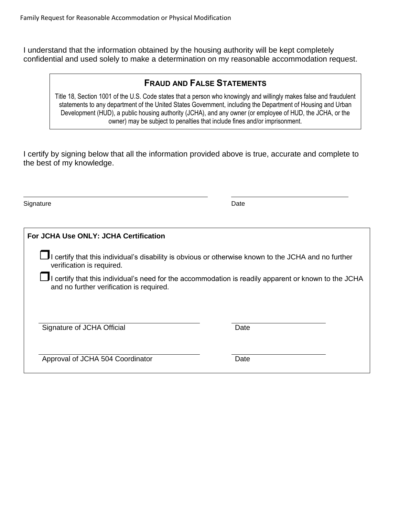I understand that the information obtained by the housing authority will be kept completely confidential and used solely to make a determination on my reasonable accommodation request.

### **FRAUD AND FALSE STATEMENTS**

Title 18, Section 1001 of the U.S. Code states that a person who knowingly and willingly makes false and fraudulent statements to any department of the United States Government, including the Department of Housing and Urban Development (HUD), a public housing authority (JCHA), and any owner (or employee of HUD, the JCHA, or the owner) may be subject to penalties that include fines and/or imprisonment.

I certify by signing below that all the information provided above is true, accurate and complete to the best of my knowledge.

Signature Date Date Date Contract and Contract Date Date Date

| For JCHA Use ONLY: JCHA Certification                                                                                                                           |                                                                                                    |  |
|-----------------------------------------------------------------------------------------------------------------------------------------------------------------|----------------------------------------------------------------------------------------------------|--|
| verification is required.                                                                                                                                       | certify that this individual's disability is obvious or otherwise known to the JCHA and no further |  |
| $\blacksquare$ I certify that this individual's need for the accommodation is readily apparent or known to the JCHA<br>and no further verification is required. |                                                                                                    |  |
|                                                                                                                                                                 |                                                                                                    |  |
| Signature of JCHA Official                                                                                                                                      | Date                                                                                               |  |
| Approval of JCHA 504 Coordinator                                                                                                                                | Date                                                                                               |  |